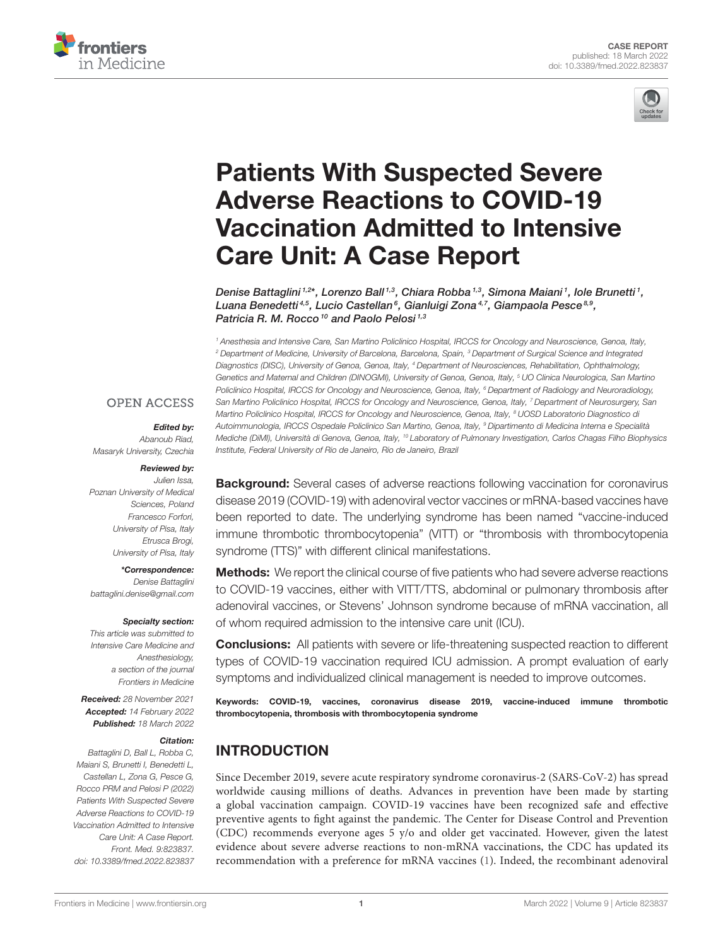



# Patients With Suspected Severe Adverse Reactions to COVID-19 [Vaccination Admitted to Intensive](https://www.frontiersin.org/articles/10.3389/fmed.2022.823837/full) Care Unit: A Case Report

Denise Battaglini 1,2\*, Lorenzo Ball 1,3, Chiara Robba 1,3, Simona Maiani 1, Iole Brunetti 1, Luana Benedetti ${}^{4,5}$ , Lucio Castellan ${}^6$ , Gianluigi Zona ${}^{4,7}$ , Giampaola Pesce ${}^{8,9},$ Patricia R. M. Rocco<sup>10</sup> and Paolo Pelosi<sup>1,3</sup>

<sup>1</sup> Anesthesia and Intensive Care, San Martino Policlinico Hospital, IRCCS for Oncology and Neuroscience, Genoa, Italy, <sup>2</sup> Department of Medicine, University of Barcelona, Barcelona, Spain, <sup>3</sup> Department of Surgical Science and Integrated Diagnostics (DISC), University of Genoa, Genoa, Italy, <sup>4</sup> Department of Neurosciences, Rehabilitation, Ophthalmology, Genetics and Maternal and Children (DINOGMI), University of Genoa, Genoa, Italy, <sup>5</sup> UO Clinica Neurologica, San Martino Policlinico Hospital, IRCCS for Oncology and Neuroscience, Genoa, Italy, <sup>6</sup> Department of Radiology and Neuroradiology, San Martino Policlinico Hospital, IRCCS for Oncology and Neuroscience, Genoa, Italy, 7 Department of Neurosurgery, San Martino Policlinico Hospital, IRCCS for Oncology and Neuroscience, Genoa, Italy, <sup>8</sup> UOSD Laboratorio Diagnostico di Autoimmunologia, IRCCS Ospedale Policlinico San Martino, Genoa, Italy, <sup>9</sup> Dipartimento di Medicina Interna e Specialità Mediche (DiMI), Università di Genova, Genoa, Italy, <sup>10</sup> Laboratory of Pulmonary Investigation, Carlos Chagas Filho Biophysics Institute, Federal University of Rio de Janeiro, Rio de Janeiro, Brazil

#### **OPEN ACCESS**

#### Edited by:

Abanoub Riad, Masaryk University, Czechia

#### Reviewed by:

Julien Issa, Poznan University of Medical Sciences, Poland Francesco Forfori, University of Pisa, Italy Etrusca Brogi, University of Pisa, Italy

\*Correspondence: Denise Battaglini [battaglini.denise@gmail.com](mailto:battaglini.denise@gmail.com)

#### Specialty section:

This article was submitted to Intensive Care Medicine and Anesthesiology, a section of the journal Frontiers in Medicine

Received: 28 November 2021 Accepted: 14 February 2022 Published: 18 March 2022

#### Citation:

Battaglini D, Ball L, Robba C, Maiani S, Brunetti I, Benedetti L, Castellan L, Zona G, Pesce G, Rocco PRM and Pelosi P (2022) Patients With Suspected Severe Adverse Reactions to COVID-19 Vaccination Admitted to Intensive Care Unit: A Case Report. Front. Med. 9:823837. doi: [10.3389/fmed.2022.823837](https://doi.org/10.3389/fmed.2022.823837) **Background:** Several cases of adverse reactions following vaccination for coronavirus disease 2019 (COVID-19) with adenoviral vector vaccines or mRNA-based vaccines have been reported to date. The underlying syndrome has been named "vaccine-induced immune thrombotic thrombocytopenia" (VITT) or "thrombosis with thrombocytopenia syndrome (TTS)" with different clinical manifestations.

**Methods:** We report the clinical course of five patients who had severe adverse reactions to COVID-19 vaccines, either with VITT/TTS, abdominal or pulmonary thrombosis after adenoviral vaccines, or Stevens' Johnson syndrome because of mRNA vaccination, all of whom required admission to the intensive care unit (ICU).

**Conclusions:** All patients with severe or life-threatening suspected reaction to different types of COVID-19 vaccination required ICU admission. A prompt evaluation of early symptoms and individualized clinical management is needed to improve outcomes.

Keywords: COVID-19, vaccines, coronavirus disease 2019, vaccine-induced immune thrombotic thrombocytopenia, thrombosis with thrombocytopenia syndrome

# INTRODUCTION

Since December 2019, severe acute respiratory syndrome coronavirus-2 (SARS-CoV-2) has spread worldwide causing millions of deaths. Advances in prevention have been made by starting a global vaccination campaign. COVID-19 vaccines have been recognized safe and effective preventive agents to fight against the pandemic. The Center for Disease Control and Prevention (CDC) recommends everyone ages 5 y/o and older get vaccinated. However, given the latest evidence about severe adverse reactions to non-mRNA vaccinations, the CDC has updated its recommendation with a preference for mRNA vaccines [\(1\)](#page-8-0). Indeed, the recombinant adenoviral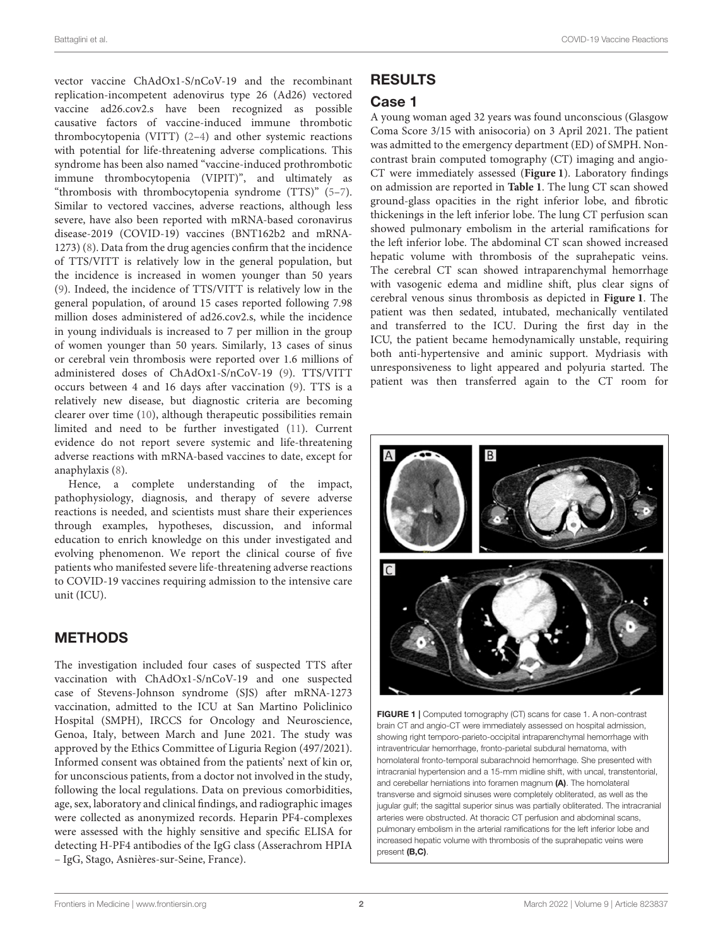vector vaccine ChAdOx1-S/nCoV-19 and the recombinant replication-incompetent adenovirus type 26 (Ad26) vectored vaccine ad26.cov2.s have been recognized as possible causative factors of vaccine-induced immune thrombotic thrombocytopenia (VITT) [\(2–](#page-8-1)[4\)](#page-8-2) and other systemic reactions with potential for life-threatening adverse complications. This syndrome has been also named "vaccine-induced prothrombotic immune thrombocytopenia (VIPIT)", and ultimately as "thrombosis with thrombocytopenia syndrome (TTS)" [\(5](#page-8-3)[–7\)](#page-8-4). Similar to vectored vaccines, adverse reactions, although less severe, have also been reported with mRNA-based coronavirus disease-2019 (COVID-19) vaccines (BNT162b2 and mRNA-1273) [\(8\)](#page-8-5). Data from the drug agencies confirm that the incidence of TTS/VITT is relatively low in the general population, but the incidence is increased in women younger than 50 years [\(9\)](#page-8-6). Indeed, the incidence of TTS/VITT is relatively low in the general population, of around 15 cases reported following 7.98 million doses administered of ad26.cov2.s, while the incidence in young individuals is increased to 7 per million in the group of women younger than 50 years. Similarly, 13 cases of sinus or cerebral vein thrombosis were reported over 1.6 millions of administered doses of ChAdOx1-S/nCoV-19 [\(9\)](#page-8-6). TTS/VITT occurs between 4 and 16 days after vaccination [\(9\)](#page-8-6). TTS is a relatively new disease, but diagnostic criteria are becoming clearer over time [\(10\)](#page-8-7), although therapeutic possibilities remain limited and need to be further investigated [\(11\)](#page-8-8). Current evidence do not report severe systemic and life-threatening adverse reactions with mRNA-based vaccines to date, except for anaphylaxis [\(8\)](#page-8-5).

Hence, a complete understanding of the impact, pathophysiology, diagnosis, and therapy of severe adverse reactions is needed, and scientists must share their experiences through examples, hypotheses, discussion, and informal education to enrich knowledge on this under investigated and evolving phenomenon. We report the clinical course of five patients who manifested severe life-threatening adverse reactions to COVID-19 vaccines requiring admission to the intensive care unit (ICU).

# METHODS

The investigation included four cases of suspected TTS after vaccination with ChAdOx1-S/nCoV-19 and one suspected case of Stevens-Johnson syndrome (SJS) after mRNA-1273 vaccination, admitted to the ICU at San Martino Policlinico Hospital (SMPH), IRCCS for Oncology and Neuroscience, Genoa, Italy, between March and June 2021. The study was approved by the Ethics Committee of Liguria Region (497/2021). Informed consent was obtained from the patients' next of kin or, for unconscious patients, from a doctor not involved in the study, following the local regulations. Data on previous comorbidities, age, sex, laboratory and clinical findings, and radiographic images were collected as anonymized records. Heparin PF4-complexes were assessed with the highly sensitive and specific ELISA for detecting H-PF4 antibodies of the IgG class (Asserachrom HPIA – IgG, Stago, Asnières-sur-Seine, France).

# RESULTS

## Case 1

A young woman aged 32 years was found unconscious (Glasgow Coma Score 3/15 with anisocoria) on 3 April 2021. The patient was admitted to the emergency department (ED) of SMPH. Noncontrast brain computed tomography (CT) imaging and angio-CT were immediately assessed (**[Figure 1](#page-1-0)**). Laboratory findings on admission are reported in **[Table 1](#page-2-0)**. The lung CT scan showed ground-glass opacities in the right inferior lobe, and fibrotic thickenings in the left inferior lobe. The lung CT perfusion scan showed pulmonary embolism in the arterial ramifications for the left inferior lobe. The abdominal CT scan showed increased hepatic volume with thrombosis of the suprahepatic veins. The cerebral CT scan showed intraparenchymal hemorrhage with vasogenic edema and midline shift, plus clear signs of cerebral venous sinus thrombosis as depicted in **[Figure 1](#page-1-0)**. The patient was then sedated, intubated, mechanically ventilated and transferred to the ICU. During the first day in the ICU, the patient became hemodynamically unstable, requiring both anti-hypertensive and aminic support. Mydriasis with unresponsiveness to light appeared and polyuria started. The patient was then transferred again to the CT room for



<span id="page-1-0"></span>FIGURE 1 | Computed tomography (CT) scans for case 1. A non-contrast brain CT and angio-CT were immediately assessed on hospital admission, showing right temporo-parieto-occipital intraparenchymal hemorrhage with intraventricular hemorrhage, fronto-parietal subdural hematoma, with homolateral fronto-temporal subarachnoid hemorrhage. She presented with intracranial hypertension and a 15-mm midline shift, with uncal, transtentorial, and cerebellar herniations into foramen magnum (A). The homolateral transverse and sigmoid sinuses were completely obliterated, as well as the jugular gulf; the sagittal superior sinus was partially obliterated. The intracranial arteries were obstructed. At thoracic CT perfusion and abdominal scans, pulmonary embolism in the arterial ramifications for the left inferior lobe and increased hepatic volume with thrombosis of the suprahepatic veins were present (B,C).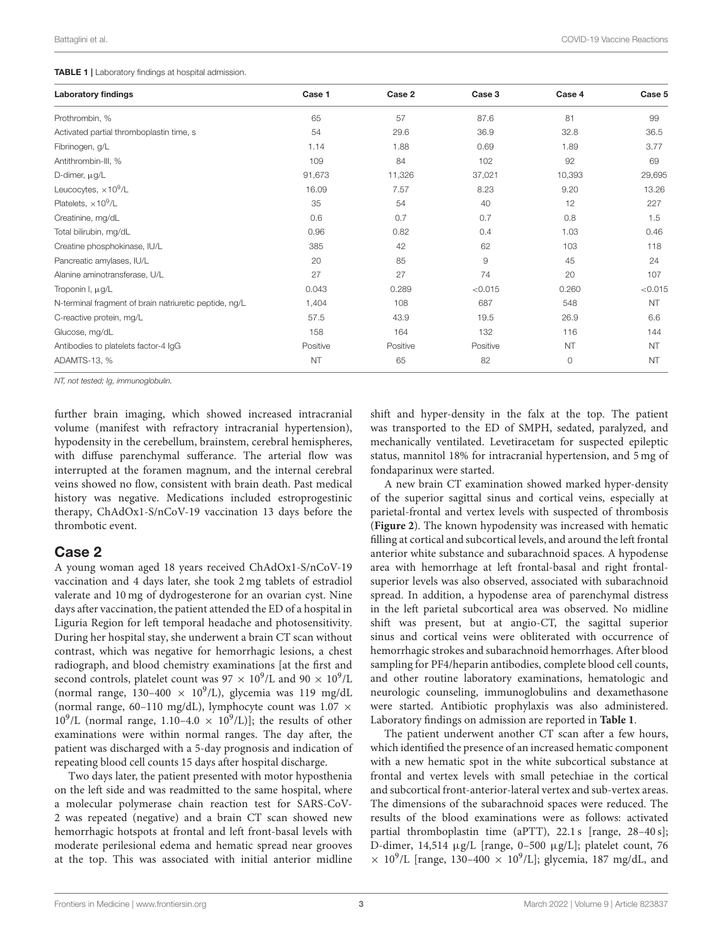#### <span id="page-2-0"></span>TABLE 1 | Laboratory findings at hospital admission.

| <b>Laboratory findings</b>                             | Case 1    | Case 2   | Case 3         | Case 4    | Case 5    |
|--------------------------------------------------------|-----------|----------|----------------|-----------|-----------|
| Prothrombin, %                                         | 65        | 57       | 87.6           | 81        | 99        |
| Activated partial thromboplastin time, s               | 54        | 29.6     | 36.9           | 32.8      | 36.5      |
| Fibrinogen, g/L                                        | 1.14      | 1.88     | 0.69           | 1.89      | 3.77      |
| Antithrombin-III, %                                    | 109       | 84       | 102            | 92        | 69        |
| D-dimer, µg/L                                          | 91,673    | 11,326   | 37,021         | 10,393    | 29,695    |
| Leucocytes, $\times 10^9$ /L                           | 16.09     | 7.57     | 8.23           | 9.20      | 13.26     |
| Platelets, $\times 10^9/L$                             | 35        | 54       | 40             | 12        | 227       |
| Creatinine, mg/dL                                      | 0.6       | 0.7      | 0.7            | 0.8       | 1.5       |
| Total bilirubin, mg/dL                                 | 0.96      | 0.82     | 0.4            | 1.03      | 0.46      |
| Creatine phosphokinase, IU/L                           | 385       | 42       | 62             | 103       | 118       |
| Pancreatic amylases, IU/L                              | 20        | 85       | $\overline{9}$ | 45        | 24        |
| Alanine aminotransferase, U/L                          | 27        | 27       | 74             | 20        | 107       |
| Troponin I, µg/L                                       | 0.043     | 0.289    | < 0.015        | 0.260     | < 0.015   |
| N-terminal fragment of brain natriuretic peptide, ng/L | 1,404     | 108      | 687            | 548       | <b>NT</b> |
| C-reactive protein, mg/L                               | 57.5      | 43.9     | 19.5           | 26.9      | 6.6       |
| Glucose, mg/dL                                         | 158       | 164      | 132            | 116       | 144       |
| Antibodies to platelets factor-4 IgG                   | Positive  | Positive | Positive       | <b>NT</b> | <b>NT</b> |
| ADAMTS-13, %                                           | <b>NT</b> | 65       | 82             | $\circ$   | <b>NT</b> |

NT, not tested; Ig, immunoglobulin.

further brain imaging, which showed increased intracranial volume (manifest with refractory intracranial hypertension), hypodensity in the cerebellum, brainstem, cerebral hemispheres, with diffuse parenchymal sufferance. The arterial flow was interrupted at the foramen magnum, and the internal cerebral veins showed no flow, consistent with brain death. Past medical history was negative. Medications included estroprogestinic therapy, ChAdOx1-S/nCoV-19 vaccination 13 days before the thrombotic event.

#### Case 2

A young woman aged 18 years received ChAdOx1-S/nCoV-19 vaccination and 4 days later, she took 2 mg tablets of estradiol valerate and 10 mg of dydrogesterone for an ovarian cyst. Nine days after vaccination, the patient attended the ED of a hospital in Liguria Region for left temporal headache and photosensitivity. During her hospital stay, she underwent a brain CT scan without contrast, which was negative for hemorrhagic lesions, a chest radiograph, and blood chemistry examinations [at the first and second controls, platelet count was  $97 \times 10^9$ /L and  $90 \times 10^9$ /L (normal range,  $130-400 \times 10^9$ /L), glycemia was 119 mg/dL (normal range, 60–110 mg/dL), lymphocyte count was 1.07 ×  $10^9$ /L (normal range, 1.10-4.0  $\times$   $10^9$ /L)]; the results of other examinations were within normal ranges. The day after, the patient was discharged with a 5-day prognosis and indication of repeating blood cell counts 15 days after hospital discharge.

Two days later, the patient presented with motor hyposthenia on the left side and was readmitted to the same hospital, where a molecular polymerase chain reaction test for SARS-CoV-2 was repeated (negative) and a brain CT scan showed new hemorrhagic hotspots at frontal and left front-basal levels with moderate perilesional edema and hematic spread near grooves at the top. This was associated with initial anterior midline shift and hyper-density in the falx at the top. The patient was transported to the ED of SMPH, sedated, paralyzed, and mechanically ventilated. Levetiracetam for suspected epileptic status, mannitol 18% for intracranial hypertension, and 5 mg of fondaparinux were started.

A new brain CT examination showed marked hyper-density of the superior sagittal sinus and cortical veins, especially at parietal-frontal and vertex levels with suspected of thrombosis (**[Figure 2](#page-3-0)**). The known hypodensity was increased with hematic filling at cortical and subcortical levels, and around the left frontal anterior white substance and subarachnoid spaces. A hypodense area with hemorrhage at left frontal-basal and right frontalsuperior levels was also observed, associated with subarachnoid spread. In addition, a hypodense area of parenchymal distress in the left parietal subcortical area was observed. No midline shift was present, but at angio-CT, the sagittal superior sinus and cortical veins were obliterated with occurrence of hemorrhagic strokes and subarachnoid hemorrhages. After blood sampling for PF4/heparin antibodies, complete blood cell counts, and other routine laboratory examinations, hematologic and neurologic counseling, immunoglobulins and dexamethasone were started. Antibiotic prophylaxis was also administered. Laboratory findings on admission are reported in **[Table 1](#page-2-0)**.

The patient underwent another CT scan after a few hours, which identified the presence of an increased hematic component with a new hematic spot in the white subcortical substance at frontal and vertex levels with small petechiae in the cortical and subcortical front-anterior-lateral vertex and sub-vertex areas. The dimensions of the subarachnoid spaces were reduced. The results of the blood examinations were as follows: activated partial thromboplastin time (aPTT), 22.1 s [range, 28–40 s]; D-dimer, 14,514 µg/L [range, 0–500 µg/L]; platelet count, 76  $\times$  10<sup>9</sup>/L [range, 130-400  $\times$  10<sup>9</sup>/L]; glycemia, 187 mg/dL, and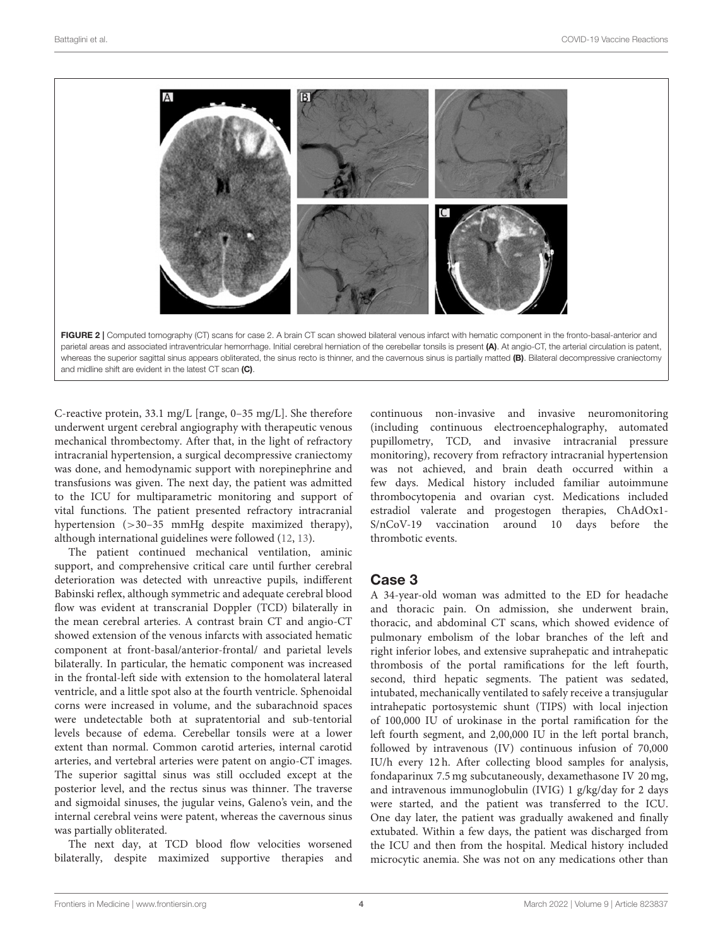

<span id="page-3-0"></span>and midline shift are evident in the latest CT scan (C).

C-reactive protein, 33.1 mg/L [range, 0–35 mg/L]. She therefore underwent urgent cerebral angiography with therapeutic venous mechanical thrombectomy. After that, in the light of refractory intracranial hypertension, a surgical decompressive craniectomy was done, and hemodynamic support with norepinephrine and transfusions was given. The next day, the patient was admitted to the ICU for multiparametric monitoring and support of vital functions. The patient presented refractory intracranial hypertension (>30–35 mmHg despite maximized therapy), although international guidelines were followed [\(12,](#page-8-9) [13\)](#page-8-10).

The patient continued mechanical ventilation, aminic support, and comprehensive critical care until further cerebral deterioration was detected with unreactive pupils, indifferent Babinski reflex, although symmetric and adequate cerebral blood flow was evident at transcranial Doppler (TCD) bilaterally in the mean cerebral arteries. A contrast brain CT and angio-CT showed extension of the venous infarcts with associated hematic component at front-basal/anterior-frontal/ and parietal levels bilaterally. In particular, the hematic component was increased in the frontal-left side with extension to the homolateral lateral ventricle, and a little spot also at the fourth ventricle. Sphenoidal corns were increased in volume, and the subarachnoid spaces were undetectable both at supratentorial and sub-tentorial levels because of edema. Cerebellar tonsils were at a lower extent than normal. Common carotid arteries, internal carotid arteries, and vertebral arteries were patent on angio-CT images. The superior sagittal sinus was still occluded except at the posterior level, and the rectus sinus was thinner. The traverse and sigmoidal sinuses, the jugular veins, Galeno's vein, and the internal cerebral veins were patent, whereas the cavernous sinus was partially obliterated.

The next day, at TCD blood flow velocities worsened bilaterally, despite maximized supportive therapies and continuous non-invasive and invasive neuromonitoring (including continuous electroencephalography, automated pupillometry, TCD, and invasive intracranial pressure monitoring), recovery from refractory intracranial hypertension was not achieved, and brain death occurred within a few days. Medical history included familiar autoimmune thrombocytopenia and ovarian cyst. Medications included estradiol valerate and progestogen therapies, ChAdOx1- S/nCoV-19 vaccination around 10 days before the thrombotic events.

#### Case 3

A 34-year-old woman was admitted to the ED for headache and thoracic pain. On admission, she underwent brain, thoracic, and abdominal CT scans, which showed evidence of pulmonary embolism of the lobar branches of the left and right inferior lobes, and extensive suprahepatic and intrahepatic thrombosis of the portal ramifications for the left fourth, second, third hepatic segments. The patient was sedated, intubated, mechanically ventilated to safely receive a transjugular intrahepatic portosystemic shunt (TIPS) with local injection of 100,000 IU of urokinase in the portal ramification for the left fourth segment, and 2,00,000 IU in the left portal branch, followed by intravenous (IV) continuous infusion of 70,000 IU/h every 12 h. After collecting blood samples for analysis, fondaparinux 7.5 mg subcutaneously, dexamethasone IV 20 mg, and intravenous immunoglobulin (IVIG) 1 g/kg/day for 2 days were started, and the patient was transferred to the ICU. One day later, the patient was gradually awakened and finally extubated. Within a few days, the patient was discharged from the ICU and then from the hospital. Medical history included microcytic anemia. She was not on any medications other than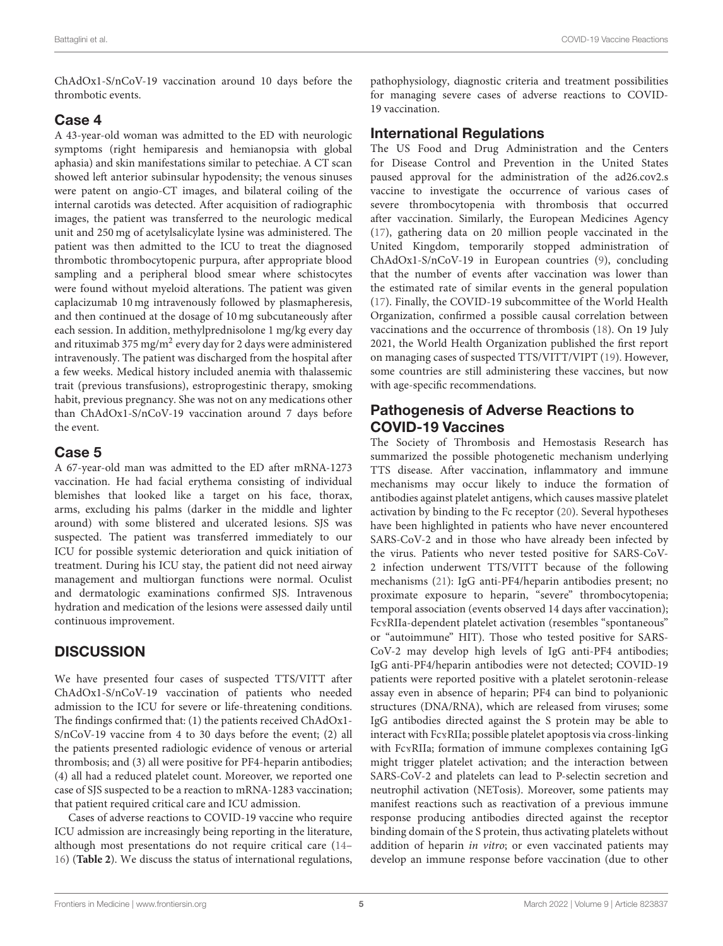ChAdOx1-S/nCoV-19 vaccination around 10 days before the thrombotic events.

#### Case 4

A 43-year-old woman was admitted to the ED with neurologic symptoms (right hemiparesis and hemianopsia with global aphasia) and skin manifestations similar to petechiae. A CT scan showed left anterior subinsular hypodensity; the venous sinuses were patent on angio-CT images, and bilateral coiling of the internal carotids was detected. After acquisition of radiographic images, the patient was transferred to the neurologic medical unit and 250 mg of acetylsalicylate lysine was administered. The patient was then admitted to the ICU to treat the diagnosed thrombotic thrombocytopenic purpura, after appropriate blood sampling and a peripheral blood smear where schistocytes were found without myeloid alterations. The patient was given caplacizumab 10 mg intravenously followed by plasmapheresis, and then continued at the dosage of 10 mg subcutaneously after each session. In addition, methylprednisolone 1 mg/kg every day and rituximab 375 mg/m $^2$  every day for 2 days were administered intravenously. The patient was discharged from the hospital after a few weeks. Medical history included anemia with thalassemic trait (previous transfusions), estroprogestinic therapy, smoking habit, previous pregnancy. She was not on any medications other than ChAdOx1-S/nCoV-19 vaccination around 7 days before the event.

### Case 5

A 67-year-old man was admitted to the ED after mRNA-1273 vaccination. He had facial erythema consisting of individual blemishes that looked like a target on his face, thorax, arms, excluding his palms (darker in the middle and lighter around) with some blistered and ulcerated lesions. SJS was suspected. The patient was transferred immediately to our ICU for possible systemic deterioration and quick initiation of treatment. During his ICU stay, the patient did not need airway management and multiorgan functions were normal. Oculist and dermatologic examinations confirmed SJS. Intravenous hydration and medication of the lesions were assessed daily until continuous improvement.

## **DISCUSSION**

We have presented four cases of suspected TTS/VITT after ChAdOx1-S/nCoV-19 vaccination of patients who needed admission to the ICU for severe or life-threatening conditions. The findings confirmed that: (1) the patients received ChAdOx1- S/nCoV-19 vaccine from 4 to 30 days before the event; (2) all the patients presented radiologic evidence of venous or arterial thrombosis; and (3) all were positive for PF4-heparin antibodies; (4) all had a reduced platelet count. Moreover, we reported one case of SJS suspected to be a reaction to mRNA-1283 vaccination; that patient required critical care and ICU admission.

Cases of adverse reactions to COVID-19 vaccine who require ICU admission are increasingly being reporting in the literature, although most presentations do not require critical care [\(14–](#page-8-11) [16\)](#page-8-12) (**[Table 2](#page-5-0)**). We discuss the status of international regulations, pathophysiology, diagnostic criteria and treatment possibilities for managing severe cases of adverse reactions to COVID-19 vaccination.

## International Regulations

The US Food and Drug Administration and the Centers for Disease Control and Prevention in the United States paused approval for the administration of the ad26.cov2.s vaccine to investigate the occurrence of various cases of severe thrombocytopenia with thrombosis that occurred after vaccination. Similarly, the European Medicines Agency [\(17\)](#page-8-13), gathering data on 20 million people vaccinated in the United Kingdom, temporarily stopped administration of ChAdOx1-S/nCoV-19 in European countries [\(9\)](#page-8-6), concluding that the number of events after vaccination was lower than the estimated rate of similar events in the general population [\(17\)](#page-8-13). Finally, the COVID-19 subcommittee of the World Health Organization, confirmed a possible causal correlation between vaccinations and the occurrence of thrombosis [\(18\)](#page-8-14). On 19 July 2021, the World Health Organization published the first report on managing cases of suspected TTS/VITT/VIPT [\(19\)](#page-8-15). However, some countries are still administering these vaccines, but now with age-specific recommendations.

## Pathogenesis of Adverse Reactions to COVID-19 Vaccines

The Society of Thrombosis and Hemostasis Research has summarized the possible photogenetic mechanism underlying TTS disease. After vaccination, inflammatory and immune mechanisms may occur likely to induce the formation of antibodies against platelet antigens, which causes massive platelet activation by binding to the Fc receptor [\(20\)](#page-8-16). Several hypotheses have been highlighted in patients who have never encountered SARS-CoV-2 and in those who have already been infected by the virus. Patients who never tested positive for SARS-CoV-2 infection underwent TTS/VITT because of the following mechanisms [\(21\)](#page-8-17): IgG anti-PF4/heparin antibodies present; no proximate exposure to heparin, "severe" thrombocytopenia; temporal association (events observed 14 days after vaccination); FcvRIIa-dependent platelet activation (resembles "spontaneous" or "autoimmune" HIT). Those who tested positive for SARS-CoV-2 may develop high levels of IgG anti-PF4 antibodies; IgG anti-PF4/heparin antibodies were not detected; COVID-19 patients were reported positive with a platelet serotonin-release assay even in absence of heparin; PF4 can bind to polyanionic structures (DNA/RNA), which are released from viruses; some IgG antibodies directed against the S protein may be able to interact with FcvRIIa; possible platelet apoptosis via cross-linking with FcvRIIa; formation of immune complexes containing IgG might trigger platelet activation; and the interaction between SARS-CoV-2 and platelets can lead to P-selectin secretion and neutrophil activation (NETosis). Moreover, some patients may manifest reactions such as reactivation of a previous immune response producing antibodies directed against the receptor binding domain of the S protein, thus activating platelets without addition of heparin in vitro; or even vaccinated patients may develop an immune response before vaccination (due to other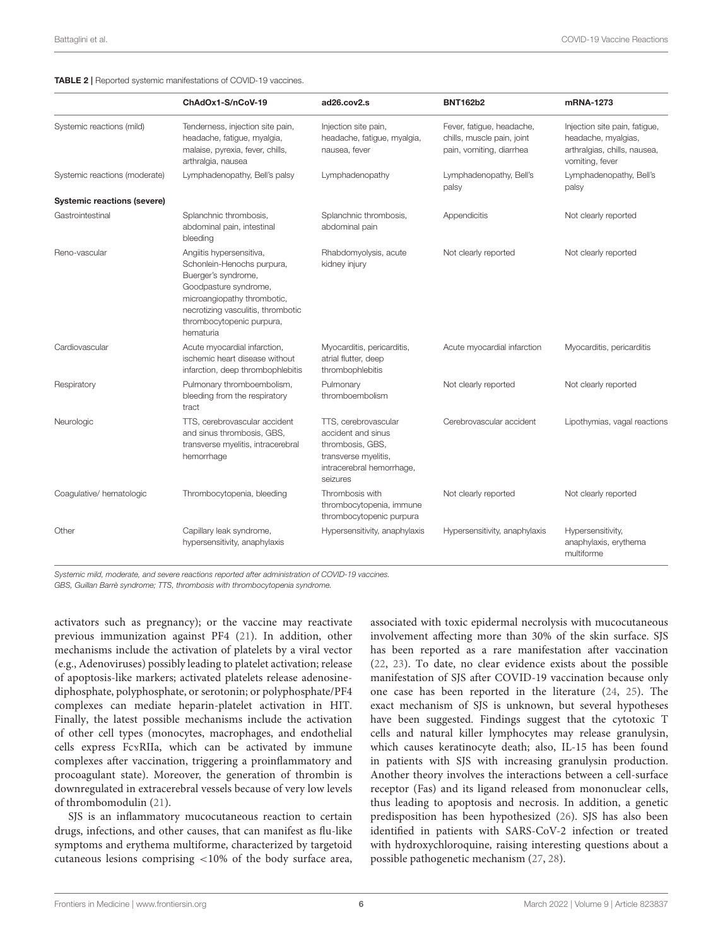<span id="page-5-0"></span>TABLE 2 | Reported systemic manifestations of COVID-19 vaccines.

|                                    | ChAdOx1-S/nCoV-19                                                                                                                                                                                                     | ad26.cov2.s                                                                                                                     | <b>BNT162b2</b>                                                                     | mRNA-1273                                                                                               |
|------------------------------------|-----------------------------------------------------------------------------------------------------------------------------------------------------------------------------------------------------------------------|---------------------------------------------------------------------------------------------------------------------------------|-------------------------------------------------------------------------------------|---------------------------------------------------------------------------------------------------------|
| Systemic reactions (mild)          | Tenderness, injection site pain,<br>headache, fatigue, myalgia,<br>malaise, pyrexia, fever, chills,<br>arthralgia, nausea                                                                                             | Injection site pain,<br>headache, fatigue, myalgia,<br>nausea, fever                                                            | Fever, fatigue, headache,<br>chills, muscle pain, joint<br>pain, vomiting, diarrhea | Injection site pain, fatigue,<br>headache, myalgias,<br>arthralgias, chills, nausea,<br>vomiting, fever |
| Systemic reactions (moderate)      | Lymphadenopathy, Bell's palsy                                                                                                                                                                                         | Lymphadenopathy                                                                                                                 | Lymphadenopathy, Bell's<br>palsy                                                    | Lymphadenopathy, Bell's<br>palsy                                                                        |
| <b>Systemic reactions (severe)</b> |                                                                                                                                                                                                                       |                                                                                                                                 |                                                                                     |                                                                                                         |
| Gastrointestinal                   | Splanchnic thrombosis,<br>abdominal pain, intestinal<br>bleeding                                                                                                                                                      | Splanchnic thrombosis,<br>abdominal pain                                                                                        | Appendicitis                                                                        | Not clearly reported                                                                                    |
| Reno-vascular                      | Angiitis hypersensitiva,<br>Schonlein-Henochs purpura,<br>Buerger's syndrome,<br>Goodpasture syndrome,<br>microangiopathy thrombotic,<br>necrotizing vasculitis, thrombotic<br>thrombocytopenic purpura,<br>hematuria | Rhabdomyolysis, acute<br>kidney injury                                                                                          | Not clearly reported                                                                | Not clearly reported                                                                                    |
| Cardiovascular                     | Acute myocardial infarction,<br>ischemic heart disease without<br>infarction, deep thrombophlebitis                                                                                                                   | Myocarditis, pericarditis,<br>atrial flutter, deep<br>thrombophlebitis                                                          | Acute myocardial infarction                                                         | Myocarditis, pericarditis                                                                               |
| Respiratory                        | Pulmonary thromboembolism,<br>bleeding from the respiratory<br>tract                                                                                                                                                  | Pulmonary<br>thromboembolism                                                                                                    | Not clearly reported                                                                | Not clearly reported                                                                                    |
| Neurologic                         | TTS, cerebrovascular accident<br>and sinus thrombosis, GBS,<br>transverse myelitis, intracerebral<br>hemorrhage                                                                                                       | TTS, cerebrovascular<br>accident and sinus<br>thrombosis, GBS,<br>transverse myelitis,<br>intracerebral hemorrhage,<br>seizures | Cerebrovascular accident                                                            | Lipothymias, vagal reactions                                                                            |
| Coagulative/hematologic            | Thrombocytopenia, bleeding                                                                                                                                                                                            | Thrombosis with<br>thrombocytopenia, immune<br>thrombocytopenic purpura                                                         | Not clearly reported                                                                | Not clearly reported                                                                                    |
| Other                              | Capillary leak syndrome,<br>hypersensitivity, anaphylaxis                                                                                                                                                             | Hypersensitivity, anaphylaxis                                                                                                   | Hypersensitivity, anaphylaxis                                                       | Hypersensitivity,<br>anaphylaxis, erythema<br>multiforme                                                |

Systemic mild, moderate, and severe reactions reported after administration of COVID-19 vaccines.

GBS, Guillan Barrè syndrome; TTS, thrombosis with thrombocytopenia syndrome.

activators such as pregnancy); or the vaccine may reactivate previous immunization against PF4 [\(21\)](#page-8-17). In addition, other mechanisms include the activation of platelets by a viral vector (e.g., Adenoviruses) possibly leading to platelet activation; release of apoptosis-like markers; activated platelets release adenosinediphosphate, polyphosphate, or serotonin; or polyphosphate/PF4 complexes can mediate heparin-platelet activation in HIT. Finally, the latest possible mechanisms include the activation of other cell types (monocytes, macrophages, and endothelial cells express FcvRIIa, which can be activated by immune complexes after vaccination, triggering a proinflammatory and procoagulant state). Moreover, the generation of thrombin is downregulated in extracerebral vessels because of very low levels of thrombomodulin [\(21\)](#page-8-17).

SJS is an inflammatory mucocutaneous reaction to certain drugs, infections, and other causes, that can manifest as flu-like symptoms and erythema multiforme, characterized by targetoid cutaneous lesions comprising <10% of the body surface area,

associated with toxic epidermal necrolysis with mucocutaneous involvement affecting more than 30% of the skin surface. SJS has been reported as a rare manifestation after vaccination [\(22,](#page-8-18) [23\)](#page-8-19). To date, no clear evidence exists about the possible manifestation of SJS after COVID-19 vaccination because only one case has been reported in the literature [\(24,](#page-8-20) [25\)](#page-8-21). The exact mechanism of SJS is unknown, but several hypotheses have been suggested. Findings suggest that the cytotoxic T cells and natural killer lymphocytes may release granulysin, which causes keratinocyte death; also, IL-15 has been found in patients with SJS with increasing granulysin production. Another theory involves the interactions between a cell-surface receptor (Fas) and its ligand released from mononuclear cells, thus leading to apoptosis and necrosis. In addition, a genetic predisposition has been hypothesized [\(26\)](#page-8-22). SJS has also been identified in patients with SARS-CoV-2 infection or treated with hydroxychloroquine, raising interesting questions about a possible pathogenetic mechanism [\(27,](#page-8-23) [28\)](#page-8-24).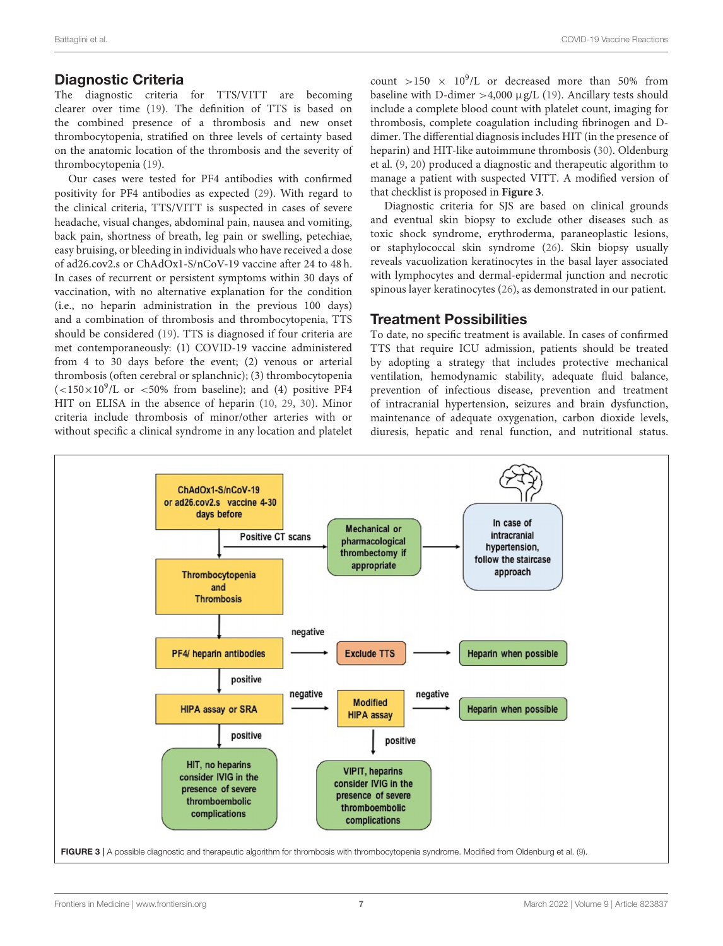#### Diagnostic Criteria

The diagnostic criteria for TTS/VITT are becoming clearer over time [\(19\)](#page-8-15). The definition of TTS is based on the combined presence of a thrombosis and new onset thrombocytopenia, stratified on three levels of certainty based on the anatomic location of the thrombosis and the severity of thrombocytopenia [\(19\)](#page-8-15).

Our cases were tested for PF4 antibodies with confirmed positivity for PF4 antibodies as expected [\(29\)](#page-8-25). With regard to the clinical criteria, TTS/VITT is suspected in cases of severe headache, visual changes, abdominal pain, nausea and vomiting, back pain, shortness of breath, leg pain or swelling, petechiae, easy bruising, or bleeding in individuals who have received a dose of ad26.cov2.s or ChAdOx1-S/nCoV-19 vaccine after 24 to 48 h. In cases of recurrent or persistent symptoms within 30 days of vaccination, with no alternative explanation for the condition (i.e., no heparin administration in the previous 100 days) and a combination of thrombosis and thrombocytopenia, TTS should be considered [\(19\)](#page-8-15). TTS is diagnosed if four criteria are met contemporaneously: (1) COVID-19 vaccine administered from 4 to 30 days before the event; (2) venous or arterial thrombosis (often cerebral or splanchnic); (3) thrombocytopenia  $(<150\times10^{9}/L$  or  $<50\%$  from baseline); and (4) positive PF4 HIT on ELISA in the absence of heparin [\(10,](#page-8-7) [29,](#page-8-25) [30\)](#page-8-26). Minor criteria include thrombosis of minor/other arteries with or without specific a clinical syndrome in any location and platelet

count  $>150 \times 10^9$ /L or decreased more than 50% from baseline with D-dimer  $>4,000 \mu$ g/L [\(19\)](#page-8-15). Ancillary tests should include a complete blood count with platelet count, imaging for thrombosis, complete coagulation including fibrinogen and Ddimer. The differential diagnosis includes HIT (in the presence of heparin) and HIT-like autoimmune thrombosis [\(30\)](#page-8-26). Oldenburg et al. [\(9,](#page-8-6) [20\)](#page-8-16) produced a diagnostic and therapeutic algorithm to manage a patient with suspected VITT. A modified version of that checklist is proposed in **[Figure 3](#page-6-0)**.

Diagnostic criteria for SJS are based on clinical grounds and eventual skin biopsy to exclude other diseases such as toxic shock syndrome, erythroderma, paraneoplastic lesions, or staphylococcal skin syndrome [\(26\)](#page-8-22). Skin biopsy usually reveals vacuolization keratinocytes in the basal layer associated with lymphocytes and dermal-epidermal junction and necrotic spinous layer keratinocytes [\(26\)](#page-8-22), as demonstrated in our patient.

#### Treatment Possibilities

To date, no specific treatment is available. In cases of confirmed TTS that require ICU admission, patients should be treated by adopting a strategy that includes protective mechanical ventilation, hemodynamic stability, adequate fluid balance, prevention of infectious disease, prevention and treatment of intracranial hypertension, seizures and brain dysfunction, maintenance of adequate oxygenation, carbon dioxide levels, diuresis, hepatic and renal function, and nutritional status.

<span id="page-6-0"></span>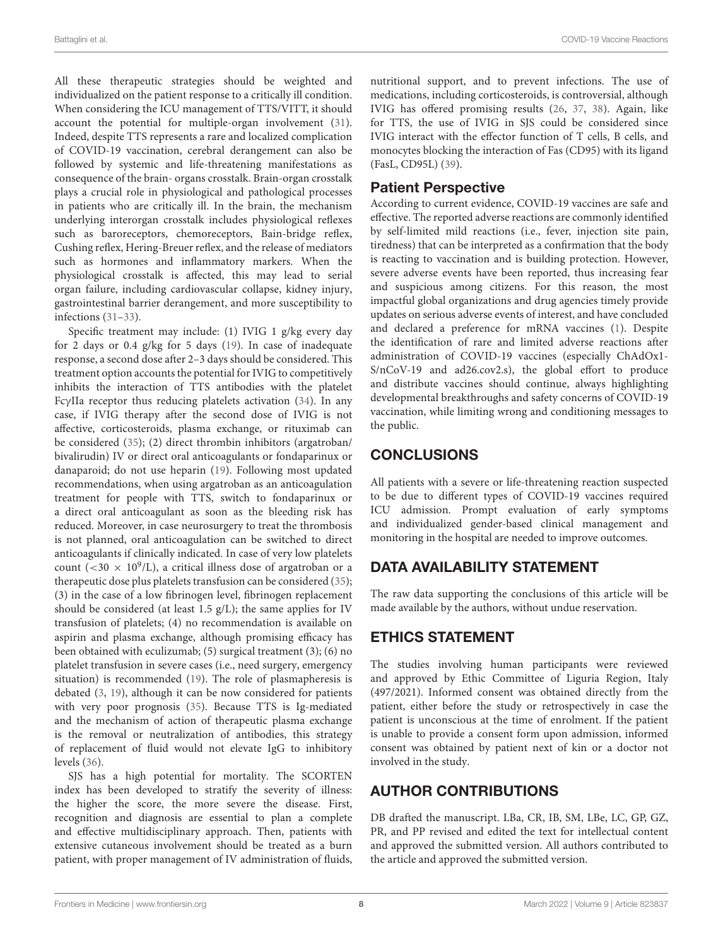All these therapeutic strategies should be weighted and individualized on the patient response to a critically ill condition. When considering the ICU management of TTS/VITT, it should account the potential for multiple-organ involvement [\(31\)](#page-8-27). Indeed, despite TTS represents a rare and localized complication of COVID-19 vaccination, cerebral derangement can also be followed by systemic and life-threatening manifestations as consequence of the brain- organs crosstalk. Brain-organ crosstalk plays a crucial role in physiological and pathological processes in patients who are critically ill. In the brain, the mechanism underlying interorgan crosstalk includes physiological reflexes such as baroreceptors, chemoreceptors, Bain-bridge reflex, Cushing reflex, Hering-Breuer reflex, and the release of mediators such as hormones and inflammatory markers. When the physiological crosstalk is affected, this may lead to serial organ failure, including cardiovascular collapse, kidney injury, gastrointestinal barrier derangement, and more susceptibility to infections [\(31–](#page-8-27)[33\)](#page-8-28).

Specific treatment may include: (1) IVIG 1 g/kg every day for 2 days or 0.4 g/kg for 5 days [\(19\)](#page-8-15). In case of inadequate response, a second dose after 2–3 days should be considered. This treatment option accounts the potential for IVIG to competitively inhibits the interaction of TTS antibodies with the platelet FcγIIa receptor thus reducing platelets activation [\(34\)](#page-8-29). In any case, if IVIG therapy after the second dose of IVIG is not affective, corticosteroids, plasma exchange, or rituximab can be considered [\(35\)](#page-8-30); (2) direct thrombin inhibitors (argatroban/ bivalirudin) IV or direct oral anticoagulants or fondaparinux or danaparoid; do not use heparin [\(19\)](#page-8-15). Following most updated recommendations, when using argatroban as an anticoagulation treatment for people with TTS, switch to fondaparinux or a direct oral anticoagulant as soon as the bleeding risk has reduced. Moreover, in case neurosurgery to treat the thrombosis is not planned, oral anticoagulation can be switched to direct anticoagulants if clinically indicated. In case of very low platelets count (<30  $\times$  10<sup>9</sup>/L), a critical illness dose of argatroban or a therapeutic dose plus platelets transfusion can be considered [\(35\)](#page-8-30); (3) in the case of a low fibrinogen level, fibrinogen replacement should be considered (at least 1.5 g/L); the same applies for IV transfusion of platelets; (4) no recommendation is available on aspirin and plasma exchange, although promising efficacy has been obtained with eculizumab; (5) surgical treatment (3); (6) no platelet transfusion in severe cases (i.e., need surgery, emergency situation) is recommended [\(19\)](#page-8-15). The role of plasmapheresis is debated [\(3,](#page-8-31) [19\)](#page-8-15), although it can be now considered for patients with very poor prognosis [\(35\)](#page-8-30). Because TTS is Ig-mediated and the mechanism of action of therapeutic plasma exchange is the removal or neutralization of antibodies, this strategy of replacement of fluid would not elevate IgG to inhibitory levels [\(36\)](#page-8-32).

SJS has a high potential for mortality. The SCORTEN index has been developed to stratify the severity of illness: the higher the score, the more severe the disease. First, recognition and diagnosis are essential to plan a complete and effective multidisciplinary approach. Then, patients with extensive cutaneous involvement should be treated as a burn patient, with proper management of IV administration of fluids, nutritional support, and to prevent infections. The use of medications, including corticosteroids, is controversial, although IVIG has offered promising results [\(26,](#page-8-22) [37,](#page-8-33) [38\)](#page-8-34). Again, like for TTS, the use of IVIG in SJS could be considered since IVIG interact with the effector function of T cells, B cells, and monocytes blocking the interaction of Fas (CD95) with its ligand (FasL, CD95L) [\(39\)](#page-9-0).

# Patient Perspective

According to current evidence, COVID-19 vaccines are safe and effective. The reported adverse reactions are commonly identified by self-limited mild reactions (i.e., fever, injection site pain, tiredness) that can be interpreted as a confirmation that the body is reacting to vaccination and is building protection. However, severe adverse events have been reported, thus increasing fear and suspicious among citizens. For this reason, the most impactful global organizations and drug agencies timely provide updates on serious adverse events of interest, and have concluded and declared a preference for mRNA vaccines [\(1\)](#page-8-0). Despite the identification of rare and limited adverse reactions after administration of COVID-19 vaccines (especially ChAdOx1- S/nCoV-19 and ad26.cov2.s), the global effort to produce and distribute vaccines should continue, always highlighting developmental breakthroughs and safety concerns of COVID-19 vaccination, while limiting wrong and conditioning messages to the public.

# **CONCLUSIONS**

All patients with a severe or life-threatening reaction suspected to be due to different types of COVID-19 vaccines required ICU admission. Prompt evaluation of early symptoms and individualized gender-based clinical management and monitoring in the hospital are needed to improve outcomes.

# DATA AVAILABILITY STATEMENT

The raw data supporting the conclusions of this article will be made available by the authors, without undue reservation.

# ETHICS STATEMENT

The studies involving human participants were reviewed and approved by Ethic Committee of Liguria Region, Italy (497/2021). Informed consent was obtained directly from the patient, either before the study or retrospectively in case the patient is unconscious at the time of enrolment. If the patient is unable to provide a consent form upon admission, informed consent was obtained by patient next of kin or a doctor not involved in the study.

# AUTHOR CONTRIBUTIONS

DB drafted the manuscript. LBa, CR, IB, SM, LBe, LC, GP, GZ, PR, and PP revised and edited the text for intellectual content and approved the submitted version. All authors contributed to the article and approved the submitted version.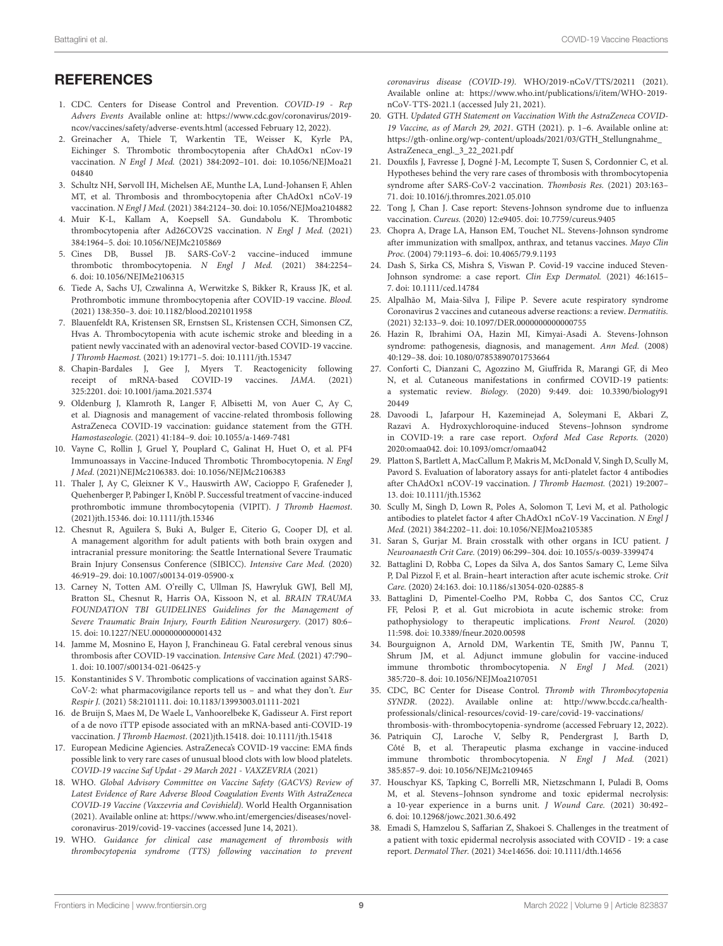# **REFERENCES**

- <span id="page-8-0"></span>1. CDC. Centers for Disease Control and Prevention. COVID-19 - Rep Advers Events Available online at: [https://www.cdc.gov/coronavirus/2019](https://www.cdc.gov/coronavirus/2019-ncov/vaccines/safety/adverse-events.html) [ncov/vaccines/safety/adverse-events.html](https://www.cdc.gov/coronavirus/2019-ncov/vaccines/safety/adverse-events.html) (accessed February 12, 2022).
- <span id="page-8-1"></span>2. Greinacher A, Thiele T, Warkentin TE, Weisser K, Kyrle PA, Eichinger S. Thrombotic thrombocytopenia after ChAdOx1 nCov-19 vaccination. N Engl J Med. [\(2021\) 384:2092–101. doi: 10.1056/NEJMoa21](https://doi.org/10.1056/NEJMoa2104840) 04840
- <span id="page-8-31"></span>3. Schultz NH, Sørvoll IH, Michelsen AE, Munthe LA, Lund-Johansen F, Ahlen MT, et al. Thrombosis and thrombocytopenia after ChAdOx1 nCoV-19 vaccination. N Engl J Med. (2021) 384:2124–30. doi: [10.1056/NEJMoa2104882](https://doi.org/10.1056/NEJMoa2104882)
- <span id="page-8-2"></span>4. Muir K-L, Kallam A, Koepsell SA. Gundabolu K. Thrombotic thrombocytopenia after Ad26COV2S vaccination. N Engl J Med. (2021) 384:1964–5. doi: [10.1056/NEJMc2105869](https://doi.org/10.1056/NEJMc2105869)
- <span id="page-8-3"></span>5. Cines DB, Bussel JB. SARS-CoV-2 vaccine–induced immune thrombotic thrombocytopenia. N Engl J Med. (2021) 384:2254– 6. doi: [10.1056/NEJMe2106315](https://doi.org/10.1056/NEJMe2106315)
- 6. Tiede A, Sachs UJ, Czwalinna A, Werwitzke S, Bikker R, Krauss JK, et al. Prothrombotic immune thrombocytopenia after COVID-19 vaccine. Blood. (2021) 138:350–3. doi: [10.1182/blood.2021011958](https://doi.org/10.1182/blood.2021011958)
- <span id="page-8-4"></span>7. Blauenfeldt RA, Kristensen SR, Ernstsen SL, Kristensen CCH, Simonsen CZ, Hvas A. Thrombocytopenia with acute ischemic stroke and bleeding in a patient newly vaccinated with an adenoviral vector-based COVID-19 vaccine. J Thromb Haemost. (2021) 19:1771–5. doi: [10.1111/jth.15347](https://doi.org/10.1111/jth.15347)
- <span id="page-8-5"></span>8. Chapin-Bardales J, Gee J, Myers T. Reactogenicity following receipt of mRNA-based COVID-19 vaccines. JAMA. (2021) 325:2201. doi: [10.1001/jama.2021.5374](https://doi.org/10.1001/jama.2021.5374)
- <span id="page-8-6"></span>9. Oldenburg J, Klamroth R, Langer F, Albisetti M, von Auer C, Ay C, et al. Diagnosis and management of vaccine-related thrombosis following AstraZeneca COVID-19 vaccination: guidance statement from the GTH. Hamostaseologie. (2021) 41:184–9. doi: [10.1055/a-1469-7481](https://doi.org/10.1055/a-1469-7481)
- <span id="page-8-7"></span>10. Vayne C, Rollin J, Gruel Y, Pouplard C, Galinat H, Huet O, et al. PF4 Immunoassays in Vaccine-Induced Thrombotic Thrombocytopenia. N Engl J Med. (2021)NEJMc2106383. doi: [10.1056/NEJMc2106383](https://doi.org/10.1056/NEJMc2106383)
- <span id="page-8-8"></span>11. Thaler J, Ay C, Gleixner K V., Hauswirth AW, Cacioppo F, Grafeneder J, Quehenberger P, Pabinger I, Knöbl P. Successful treatment of vaccine-induced prothrombotic immune thrombocytopenia (VIPIT). J Thromb Haemost. (2021)jth.15346. doi: [10.1111/jth.15346](https://doi.org/10.1111/jth.15346)
- <span id="page-8-9"></span>12. Chesnut R, Aguilera S, Buki A, Bulger E, Citerio G, Cooper DJ, et al. A management algorithm for adult patients with both brain oxygen and intracranial pressure monitoring: the Seattle International Severe Traumatic Brain Injury Consensus Conference (SIBICC). Intensive Care Med. (2020) 46:919–29. doi: [10.1007/s00134-019-05900-x](https://doi.org/10.1007/s00134-019-05900-x)
- <span id="page-8-10"></span>13. Carney N, Totten AM. O'reilly C, Ullman JS, Hawryluk GWJ, Bell MJ, Bratton SL, Chesnut R, Harris OA, Kissoon N, et al. BRAIN TRAUMA FOUNDATION TBI GUIDELINES Guidelines for the Management of Severe Traumatic Brain Injury, Fourth Edition Neurosurgery. (2017) 80:6– 15. doi: [10.1227/NEU.0000000000001432](https://doi.org/10.1227/NEU.0000000000001432)
- <span id="page-8-11"></span>14. Jamme M, Mosnino E, Hayon J, Franchineau G. Fatal cerebral venous sinus thrombosis after COVID-19 vaccination. Intensive Care Med. (2021) 47:790– 1. doi: [10.1007/s00134-021-06425-y](https://doi.org/10.1007/s00134-021-06425-y)
- 15. Konstantinides S V. Thrombotic complications of vaccination against SARS-CoV-2: what pharmacovigilance reports tell us – and what they don't. Eur Respir J. (2021) 58:2101111. doi: [10.1183/13993003.01111-2021](https://doi.org/10.1183/13993003.01111-2021)
- <span id="page-8-12"></span>16. de Bruijn S, Maes M, De Waele L, Vanhoorelbeke K, Gadisseur A. First report of a de novo iTTP episode associated with an mRNA-based anti-COVID-19 vaccination. J Thromb Haemost. (2021)jth.15418. doi: [10.1111/jth.15418](https://doi.org/10.1111/jth.15418)
- <span id="page-8-13"></span>17. European Medicine Agiencies. AstraZeneca's COVID-19 vaccine: EMA finds possible link to very rare cases of unusual blood clots with low blood platelets. COVID-19 vaccine Saf Updat - 29 March 2021 - VAXZEVRIA (2021)
- <span id="page-8-14"></span>18. WHO. Global Advisory Committee on Vaccine Safety (GACVS) Review of Latest Evidence of Rare Adverse Blood Coagulation Events With AstraZeneca COVID-19 Vaccine (Vaxzevria and Covishield). World Health Organnisation (2021). Available online at: [https://www.who.int/emergencies/diseases/novel](https://www.who.int/emergencies/diseases/novel-coronavirus-2019/covid-19-vaccines)[coronavirus-2019/covid-19-vaccines](https://www.who.int/emergencies/diseases/novel-coronavirus-2019/covid-19-vaccines) (accessed June 14, 2021).
- <span id="page-8-15"></span>WHO. Guidance for clinical case management of thrombosis with thrombocytopenia syndrome (TTS) following vaccination to prevent

coronavirus disease (COVID-19). WHO/2019-nCoV/TTS/20211 (2021). Available online at: [https://www.who.int/publications/i/item/WHO-2019](https://www.who.int/publications/i/item/WHO-2019-nCoV-TTS-2021.1) [nCoV-TTS-2021.1](https://www.who.int/publications/i/item/WHO-2019-nCoV-TTS-2021.1) (accessed July 21, 2021).

- <span id="page-8-16"></span>20. GTH. Updated GTH Statement on Vaccination With the AstraZeneca COVID-19 Vaccine, as of March 29, 2021. GTH (2021). p. 1–6. Available online at: [https://gth-online.org/wp-content/uploads/2021/03/GTH\\_Stellungnahme\\_](https://gth-online.org/wp-content/uploads/2021/03/GTH_Stellungnahme_AstraZeneca_engl._3_22_2021.pdf) [AstraZeneca\\_engl.\\_3\\_22\\_2021.pdf](https://gth-online.org/wp-content/uploads/2021/03/GTH_Stellungnahme_AstraZeneca_engl._3_22_2021.pdf)
- <span id="page-8-17"></span>21. Douxfils J, Favresse J, Dogné J-M, Lecompte T, Susen S, Cordonnier C, et al. Hypotheses behind the very rare cases of thrombosis with thrombocytopenia syndrome after SARS-CoV-2 vaccination. Thombosis Res. (2021) 203:163– 71. doi: [10.1016/j.thromres.2021.05.010](https://doi.org/10.1016/j.thromres.2021.05.010)
- <span id="page-8-18"></span>22. Tong J, Chan J. Case report: Stevens-Johnson syndrome due to influenza vaccination. Cureus. (2020) 12:e9405. doi: [10.7759/cureus.9405](https://doi.org/10.7759/cureus.9405)
- <span id="page-8-19"></span>23. Chopra A, Drage LA, Hanson EM, Touchet NL. Stevens-Johnson syndrome after immunization with smallpox, anthrax, and tetanus vaccines. Mayo Clin Proc. (2004) 79:1193–6. doi: [10.4065/79.9.1193](https://doi.org/10.4065/79.9.1193)
- <span id="page-8-20"></span>24. Dash S, Sirka CS, Mishra S, Viswan P. Covid-19 vaccine induced Steven-Johnson syndrome: a case report. Clin Exp Dermatol. (2021) 46:1615– 7. doi: [10.1111/ced.14784](https://doi.org/10.1111/ced.14784)
- <span id="page-8-21"></span>25. Alpalhão M, Maia-Silva J, Filipe P. Severe acute respiratory syndrome Coronavirus 2 vaccines and cutaneous adverse reactions: a review. Dermatitis. (2021) 32:133–9. doi: [10.1097/DER.0000000000000755](https://doi.org/10.1097/DER.0000000000000755)
- <span id="page-8-22"></span>26. Hazin R, Ibrahimi OA, Hazin MI, Kimyai-Asadi A. Stevens-Johnson syndrome: pathogenesis, diagnosis, and management. Ann Med. (2008) 40:129–38. doi: [10.1080/07853890701753664](https://doi.org/10.1080/07853890701753664)
- <span id="page-8-23"></span>27. Conforti C, Dianzani C, Agozzino M, Giuffrida R, Marangi GF, di Meo N, et al. Cutaneous manifestations in confirmed COVID-19 patients: a systematic review. Biology. [\(2020\) 9:449. doi: 10.3390/biology91](https://doi.org/10.3390/biology9120449) 20449
- <span id="page-8-24"></span>28. Davoodi L, Jafarpour H, Kazeminejad A, Soleymani E, Akbari Z, Razavi A. Hydroxychloroquine-induced Stevens–Johnson syndrome in COVID-19: a rare case report. Oxford Med Case Reports. (2020) 2020:omaa042. doi: [10.1093/omcr/omaa042](https://doi.org/10.1093/omcr/omaa042)
- <span id="page-8-25"></span>29. Platton S, Bartlett A, MacCallum P, Makris M, McDonald V, Singh D, Scully M, Pavord S. Evaluation of laboratory assays for anti-platelet factor 4 antibodies after ChAdOx1 nCOV-19 vaccination. J Thromb Haemost. (2021) 19:2007– 13. doi: [10.1111/jth.15362](https://doi.org/10.1111/jth.15362)
- <span id="page-8-26"></span>30. Scully M, Singh D, Lown R, Poles A, Solomon T, Levi M, et al. Pathologic antibodies to platelet factor 4 after ChAdOx1 nCoV-19 Vaccination. N Engl J Med. (2021) 384:2202–11. doi: [10.1056/NEJMoa2105385](https://doi.org/10.1056/NEJMoa2105385)
- <span id="page-8-27"></span>31. Saran S, Gurjar M. Brain crosstalk with other organs in ICU patient. J Neuroanaesth Crit Care. (2019) 06:299–304. doi: [10.1055/s-0039-3399474](https://doi.org/10.1055/s-0039-3399474)
- 32. Battaglini D, Robba C, Lopes da Silva A, dos Santos Samary C, Leme Silva P, Dal Pizzol F, et al. Brain–heart interaction after acute ischemic stroke. Crit Care. (2020) 24:163. doi: [10.1186/s13054-020-02885-8](https://doi.org/10.1186/s13054-020-02885-8)
- <span id="page-8-28"></span>33. Battaglini D, Pimentel-Coelho PM, Robba C, dos Santos CC, Cruz FF, Pelosi P, et al. Gut microbiota in acute ischemic stroke: from pathophysiology to therapeutic implications. Front Neurol. (2020) 11:598. doi: [10.3389/fneur.2020.00598](https://doi.org/10.3389/fneur.2020.00598)
- <span id="page-8-29"></span>34. Bourguignon A, Arnold DM, Warkentin TE, Smith JW, Pannu T, Shrum JM, et al. Adjunct immune globulin for vaccine-induced immune thrombotic thrombocytopenia. N Engl J Med. (2021) 385:720–8. doi: [10.1056/NEJMoa2107051](https://doi.org/10.1056/NEJMoa2107051)
- <span id="page-8-30"></span>35. CDC, BC Center for Disease Control. Thromb with Thrombocytopenia SYNDR. (2022). Available online at: [http://www.bccdc.ca/health](http://www.bccdc.ca/health-professionals/clinical-resources/covid-19-care/covid-19-vaccinations/thrombosis-with-thrombocytopenia-syndrome)[professionals/clinical-resources/covid-19-care/covid-19-vaccinations/](http://www.bccdc.ca/health-professionals/clinical-resources/covid-19-care/covid-19-vaccinations/thrombosis-with-thrombocytopenia-syndrome) [thrombosis-with-thrombocytopenia-syndrome](http://www.bccdc.ca/health-professionals/clinical-resources/covid-19-care/covid-19-vaccinations/thrombosis-with-thrombocytopenia-syndrome) (accessed February 12, 2022).
- <span id="page-8-32"></span>36. Patriquin CJ, Laroche V, Selby R, Pendergrast J, Barth D, Côté B, et al. Therapeutic plasma exchange in vaccine-induced immune thrombotic thrombocytopenia. N Engl J Med. (2021) 385:857–9. doi: [10.1056/NEJMc2109465](https://doi.org/10.1056/NEJMc2109465)
- <span id="page-8-33"></span>37. Houschyar KS, Tapking C, Borrelli MR, Nietzschmann I, Puladi B, Ooms M, et al. Stevens–Johnson syndrome and toxic epidermal necrolysis: a 10-year experience in a burns unit. J Wound Care. (2021) 30:492– 6. doi: [10.12968/jowc.2021.30.6.492](https://doi.org/10.12968/jowc.2021.30.6.492)
- <span id="page-8-34"></span>38. Emadi S, Hamzelou S, Saffarian Z, Shakoei S. Challenges in the treatment of a patient with toxic epidermal necrolysis associated with COVID - 19: a case report. Dermatol Ther. (2021) 34:e14656. doi: [10.1111/dth.14656](https://doi.org/10.1111/dth.14656)